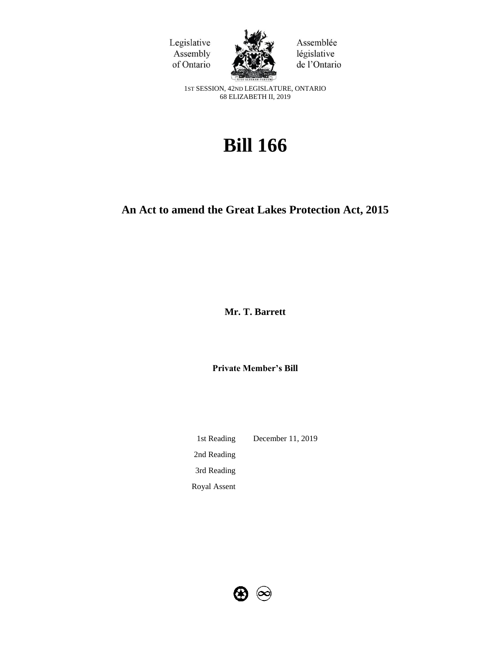



Assemblée législative de l'Ontario

1ST SESSION, 42ND LEGISLATURE, ONTARIO 68 ELIZABETH II, 2019

# **Bill 166**

## **An Act to amend the Great Lakes Protection Act, 2015**

**Mr. T. Barrett**

**Private Member's Bill**

1st Reading December 11, 2019 2nd Reading 3rd Reading Royal Assent

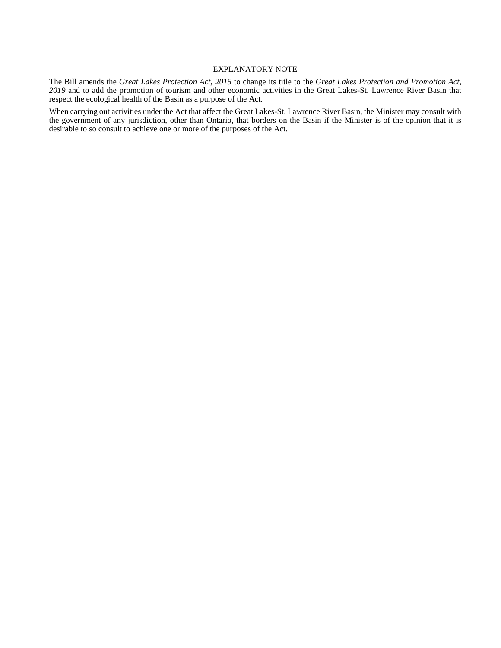#### EXPLANATORY NOTE

The Bill amends the *Great Lakes Protection Act, 2015* to change its title to the *Great Lakes Protection and Promotion Act, 2019* and to add the promotion of tourism and other economic activities in the Great Lakes-St. Lawrence River Basin that respect the ecological health of the Basin as a purpose of the Act.

When carrying out activities under the Act that affect the Great Lakes-St. Lawrence River Basin, the Minister may consult with the government of any jurisdiction, other than Ontario, that borders on the Basin if the Minister is of the opinion that it is desirable to so consult to achieve one or more of the purposes of the Act.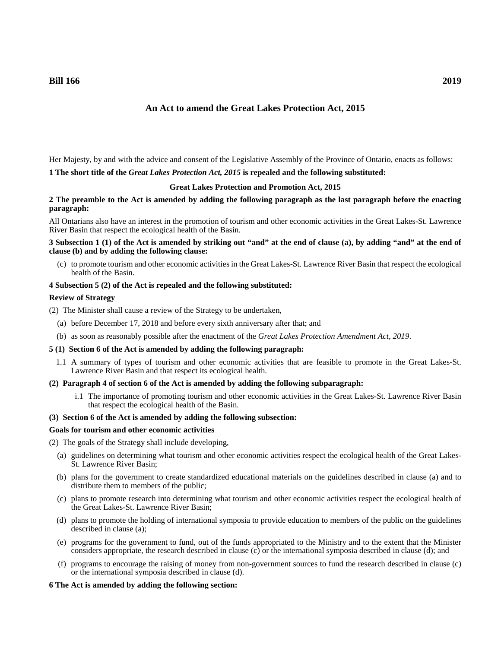### **An Act to amend the Great Lakes Protection Act, 2015**

Her Majesty, by and with the advice and consent of the Legislative Assembly of the Province of Ontario, enacts as follows: **1 The short title of the** *Great Lakes Protection Act, 2015* **is repealed and the following substituted:**

#### **Great Lakes Protection and Promotion Act, 2015**

#### **2 The preamble to the Act is amended by adding the following paragraph as the last paragraph before the enacting paragraph:**

All Ontarians also have an interest in the promotion of tourism and other economic activities in the Great Lakes-St. Lawrence River Basin that respect the ecological health of the Basin.

**3 Subsection 1 (1) of the Act is amended by striking out "and" at the end of clause (a), by adding "and" at the end of clause (b) and by adding the following clause:**

(c) to promote tourism and other economic activities in the Great Lakes-St. Lawrence River Basin that respect the ecological health of the Basin.

#### **4 Subsection 5 (2) of the Act is repealed and the following substituted:**

#### **Review of Strategy**

(2) The Minister shall cause a review of the Strategy to be undertaken,

- (a) before December 17, 2018 and before every sixth anniversary after that; and
- (b) as soon as reasonably possible after the enactment of the *Great Lakes Protection Amendment Act, 2019*.

#### **5 (1) Section 6 of the Act is amended by adding the following paragraph:**

- 1.1 A summary of types of tourism and other economic activities that are feasible to promote in the Great Lakes-St. Lawrence River Basin and that respect its ecological health.
- **(2) Paragraph 4 of section 6 of the Act is amended by adding the following subparagraph:**
	- i.1 The importance of promoting tourism and other economic activities in the Great Lakes-St. Lawrence River Basin that respect the ecological health of the Basin.

#### **(3) Section 6 of the Act is amended by adding the following subsection:**

#### **Goals for tourism and other economic activities**

- (2) The goals of the Strategy shall include developing,
	- (a) guidelines on determining what tourism and other economic activities respect the ecological health of the Great Lakes-St. Lawrence River Basin;
	- (b) plans for the government to create standardized educational materials on the guidelines described in clause (a) and to distribute them to members of the public;
	- (c) plans to promote research into determining what tourism and other economic activities respect the ecological health of the Great Lakes-St. Lawrence River Basin;
	- (d) plans to promote the holding of international symposia to provide education to members of the public on the guidelines described in clause (a);
	- (e) programs for the government to fund, out of the funds appropriated to the Ministry and to the extent that the Minister considers appropriate, the research described in clause (c) or the international symposia described in clause (d); and
	- (f) programs to encourage the raising of money from non-government sources to fund the research described in clause (c) or the international symposia described in clause (d).

#### **6 The Act is amended by adding the following section:**